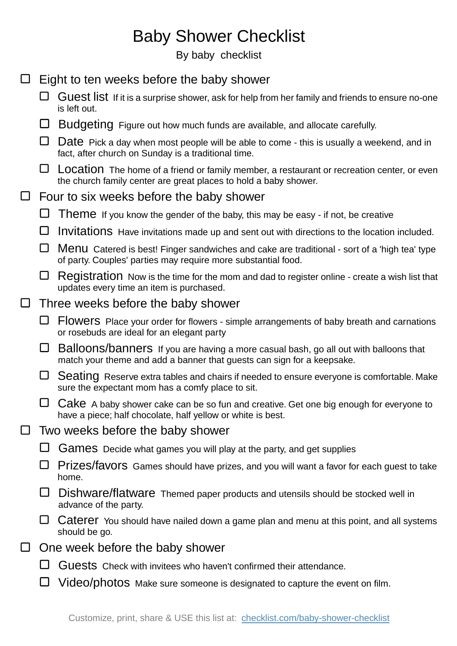## Baby Shower Checklist

By baby checklist

| $\Box$ |                                          | Eight to ten weeks before the baby shower                                                                                                                      |  |
|--------|------------------------------------------|----------------------------------------------------------------------------------------------------------------------------------------------------------------|--|
|        |                                          | Guest list If it is a surprise shower, ask for help from her family and friends to ensure no-one<br>is left out.                                               |  |
|        | ⊔                                        | Budgeting Figure out how much funds are available, and allocate carefully.                                                                                     |  |
|        |                                          | Date Pick a day when most people will be able to come - this is usually a weekend, and in<br>fact, after church on Sunday is a traditional time.               |  |
|        | ⊔                                        | Location The home of a friend or family member, a restaurant or recreation center, or even<br>the church family center are great places to hold a baby shower. |  |
| $\Box$ | Four to six weeks before the baby shower |                                                                                                                                                                |  |
|        |                                          | <b>I heme</b> If you know the gender of the baby, this may be easy - if not, be creative                                                                       |  |
|        |                                          | Invitations Have invitations made up and sent out with directions to the location included.                                                                    |  |
|        | ⊔                                        | Menu Catered is best! Finger sandwiches and cake are traditional - sort of a 'high tea' type<br>of party. Couples' parties may require more substantial food.  |  |
|        | ⊔                                        | Registration Now is the time for the mom and dad to register online - create a wish list that<br>updates every time an item is purchased.                      |  |
| $\Box$ | Three weeks before the baby shower       |                                                                                                                                                                |  |
|        | ⊔                                        | Flowers Place your order for flowers - simple arrangements of baby breath and carnations<br>or rosebuds are ideal for an elegant party                         |  |
|        | ⊔                                        | Balloons/banners If you are having a more casual bash, go all out with balloons that<br>match your theme and add a banner that guests can sign for a keepsake. |  |
|        | ⊔                                        | Seating Reserve extra tables and chairs if needed to ensure everyone is comfortable. Make<br>sure the expectant mom has a comfy place to sit.                  |  |
|        |                                          | Cake A baby shower cake can be so fun and creative. Get one big enough for everyone to<br>have a piece; half chocolate, half yellow or white is best.          |  |
| $\Box$ | Two weeks before the baby shower         |                                                                                                                                                                |  |
|        |                                          | Games Decide what games you will play at the party, and get supplies                                                                                           |  |
|        |                                          | Prizes/favors Games should have prizes, and you will want a favor for each guest to take<br>home.                                                              |  |
|        |                                          | Dishware/flatware Themed paper products and utensils should be stocked well in<br>advance of the party.                                                        |  |
|        |                                          | Caterer You should have nailed down a game plan and menu at this point, and all systems<br>should be go.                                                       |  |
| $\Box$ | One week before the baby shower          |                                                                                                                                                                |  |
|        |                                          | Guests Check with invitees who haven't confirmed their attendance.                                                                                             |  |
|        |                                          | Video/photos Make sure someone is designated to capture the event on film.                                                                                     |  |
|        |                                          |                                                                                                                                                                |  |